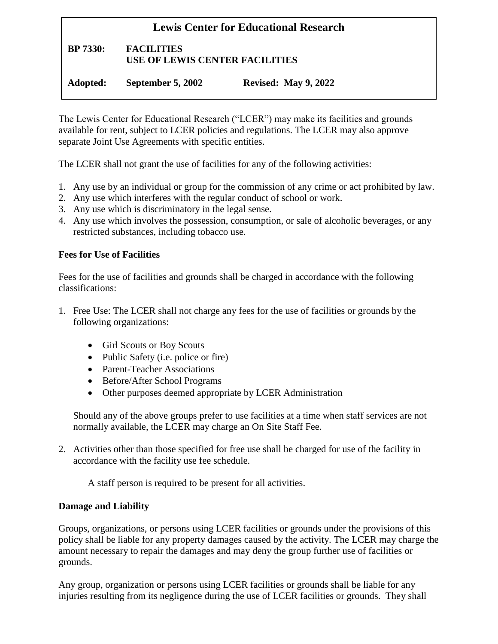# **Lewis Center for Educational Research BP 7330: FACILITIES USE OF LEWIS CENTER FACILITIES Adopted: September 5, 2002 Revised: May 9, 2022**

The Lewis Center for Educational Research ("LCER") may make its facilities and grounds available for rent, subject to LCER policies and regulations. The LCER may also approve separate Joint Use Agreements with specific entities.

The LCER shall not grant the use of facilities for any of the following activities:

- 1. Any use by an individual or group for the commission of any crime or act prohibited by law.
- 2. Any use which interferes with the regular conduct of school or work.
- 3. Any use which is discriminatory in the legal sense.
- 4. Any use which involves the possession, consumption, or sale of alcoholic beverages, or any restricted substances, including tobacco use.

#### **Fees for Use of Facilities**

Fees for the use of facilities and grounds shall be charged in accordance with the following classifications:

- 1. Free Use: The LCER shall not charge any fees for the use of facilities or grounds by the following organizations:
	- Girl Scouts or Boy Scouts
	- Public Safety (i.e. police or fire)
	- Parent-Teacher Associations
	- Before/After School Programs
	- Other purposes deemed appropriate by LCER Administration

Should any of the above groups prefer to use facilities at a time when staff services are not normally available, the LCER may charge an On Site Staff Fee.

2. Activities other than those specified for free use shall be charged for use of the facility in accordance with the facility use fee schedule.

A staff person is required to be present for all activities.

#### **Damage and Liability**

Groups, organizations, or persons using LCER facilities or grounds under the provisions of this policy shall be liable for any property damages caused by the activity. The LCER may charge the amount necessary to repair the damages and may deny the group further use of facilities or grounds.

Any group, organization or persons using LCER facilities or grounds shall be liable for any injuries resulting from its negligence during the use of LCER facilities or grounds. They shall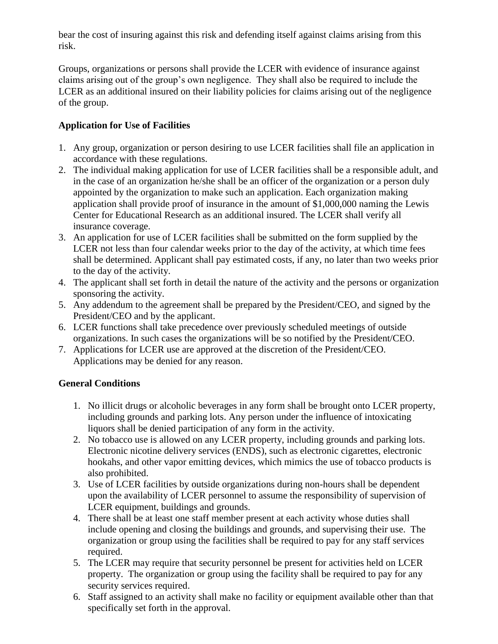bear the cost of insuring against this risk and defending itself against claims arising from this risk.

Groups, organizations or persons shall provide the LCER with evidence of insurance against claims arising out of the group's own negligence. They shall also be required to include the LCER as an additional insured on their liability policies for claims arising out of the negligence of the group.

## **Application for Use of Facilities**

- 1. Any group, organization or person desiring to use LCER facilities shall file an application in accordance with these regulations.
- 2. The individual making application for use of LCER facilities shall be a responsible adult, and in the case of an organization he/she shall be an officer of the organization or a person duly appointed by the organization to make such an application. Each organization making application shall provide proof of insurance in the amount of \$1,000,000 naming the Lewis Center for Educational Research as an additional insured. The LCER shall verify all insurance coverage.
- 3. An application for use of LCER facilities shall be submitted on the form supplied by the LCER not less than four calendar weeks prior to the day of the activity, at which time fees shall be determined. Applicant shall pay estimated costs, if any, no later than two weeks prior to the day of the activity.
- 4. The applicant shall set forth in detail the nature of the activity and the persons or organization sponsoring the activity.
- 5. Any addendum to the agreement shall be prepared by the President/CEO, and signed by the President/CEO and by the applicant.
- 6. LCER functions shall take precedence over previously scheduled meetings of outside organizations. In such cases the organizations will be so notified by the President/CEO.
- 7. Applications for LCER use are approved at the discretion of the President/CEO. Applications may be denied for any reason.

### **General Conditions**

- 1. No illicit drugs or alcoholic beverages in any form shall be brought onto LCER property, including grounds and parking lots. Any person under the influence of intoxicating liquors shall be denied participation of any form in the activity.
- 2. No tobacco use is allowed on any LCER property, including grounds and parking lots. Electronic nicotine delivery services (ENDS), such as electronic cigarettes, electronic hookahs, and other vapor emitting devices, which mimics the use of tobacco products is also prohibited.
- 3. Use of LCER facilities by outside organizations during non-hours shall be dependent upon the availability of LCER personnel to assume the responsibility of supervision of LCER equipment, buildings and grounds.
- 4. There shall be at least one staff member present at each activity whose duties shall include opening and closing the buildings and grounds, and supervising their use. The organization or group using the facilities shall be required to pay for any staff services required.
- 5. The LCER may require that security personnel be present for activities held on LCER property. The organization or group using the facility shall be required to pay for any security services required.
- 6. Staff assigned to an activity shall make no facility or equipment available other than that specifically set forth in the approval.